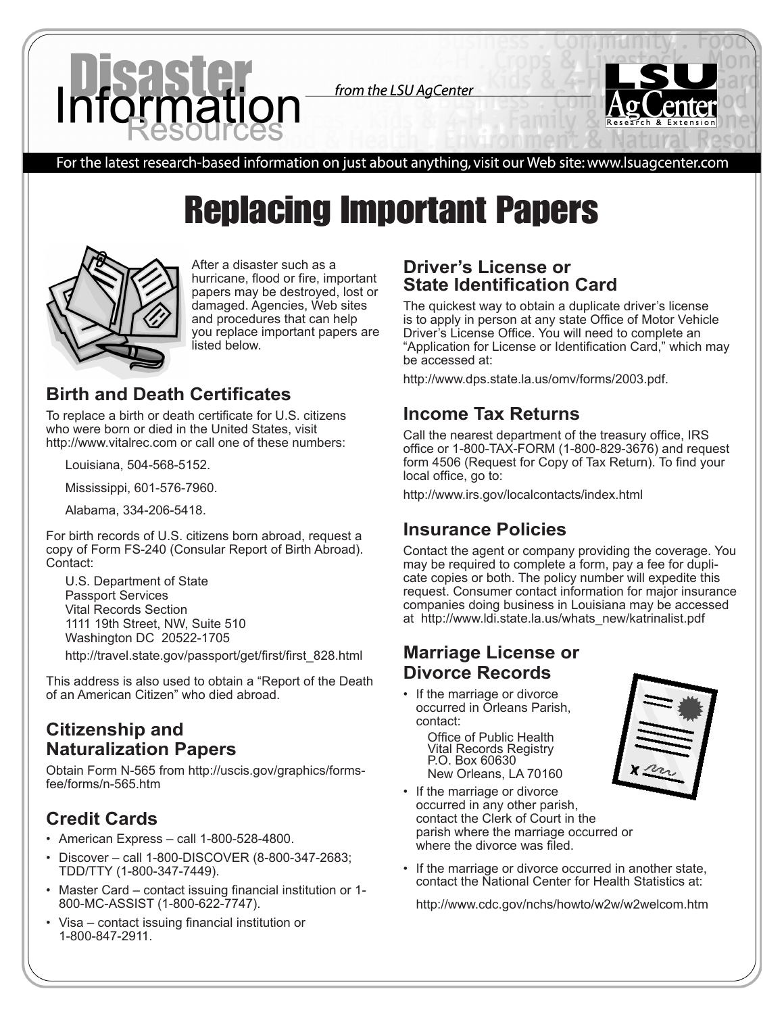

from the LSU AgCenter



For the latest research-based information on just about anything, visit our Web site: www.lsuagcenter.com

# Replacing Important Papers



After a disaster such as a hurricane, flood or fire, important papers may be destroyed, lost or damaged. Agencies, Web sites and procedures that can help you replace important papers are listed below.

## **Birth and Death Certificates**

To replace a birth or death certificate for U.S. citizens who were born or died in the United States, visit http://www.vitalrec.com or call one of these numbers:

Louisiana, 504-568-5152.

Mississippi, 601-576-7960.

Alabama, 334-206-5418.

For birth records of U.S. citizens born abroad, request a copy of Form FS-240 (Consular Report of Birth Abroad). Contact:

U.S. Department of State Passport Services Vital Records Section 1111 19th Street, NW, Suite 510 Washington DC 20522-1705

http://travel.state.gov/passport/get/first/first\_828.html

This address is also used to obtain a "Report of the Death of an American Citizen" who died abroad.

## **Citizenship and Naturalization Papers**

Obtain Form N-565 from http://uscis.gov/graphics/formsfee/forms/n-565.htm

# **Credit Cards**

- American Express call 1-800-528-4800.
- Discover call 1-800-DISCOVER (8-800-347-2683; TDD/TTY (1-800-347-7449).
- Master Card contact issuing financial institution or 1- 800-MC-ASSIST (1-800-622-7747).
- Visa contact issuing financial institution or 1-800-847-2911.

#### **Driver's License or State Identification Card**

The quickest way to obtain a duplicate driver's license is to apply in person at any state Office of Motor Vehicle Driver's License Office. You will need to complete an "Application for License or Identification Card," which may be accessed at:

http://www.dps.state.la.us/omv/forms/2003.pdf.

#### **Income Tax Returns**

Call the nearest department of the treasury office, IRS office or 1-800-TAX-FORM (1-800-829-3676) and request form 4506 (Request for Copy of Tax Return). To find your local office, go to:

http://www.irs.gov/localcontacts/index.html

#### **Insurance Policies**

Contact the agent or company providing the coverage. You may be required to complete a form, pay a fee for duplicate copies or both. The policy number will expedite this request. Consumer contact information for major insurance companies doing business in Louisiana may be accessed at http://www.ldi.state.la.us/whats\_new/katrinalist.pdf

#### **Marriage License or Divorce Records**

• If the marriage or divorce occurred in Orleans Parish, contact:

Office of Public Health Vital Records Registry P.O. Box 60630 New Orleans, LA 70160

- If the marriage or divorce occurred in any other parish, contact the Clerk of Court in the parish where the marriage occurred or where the divorce was filed.
- If the marriage or divorce occurred in another state, contact the National Center for Health Statistics at:

http://www.cdc.gov/nchs/howto/w2w/w2welcom.htm